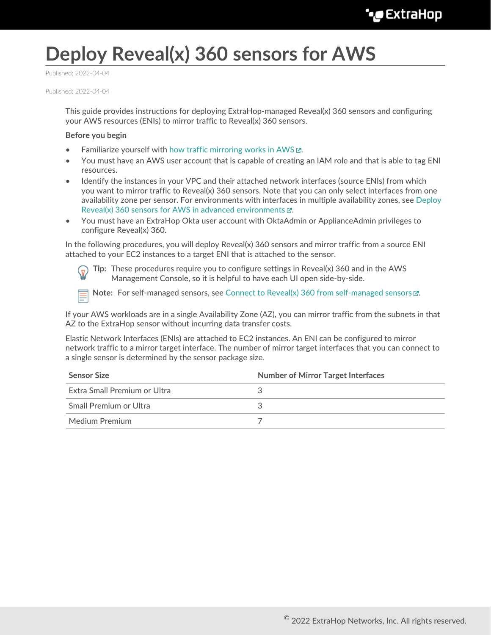# **Deploy Reveal(x) 360 sensors for AWS**

Published: 2022-04-04

Published: 2022-04-04

This guide provides instructions for deploying ExtraHop-managed Reveal(x) 360 sensors and configuring your AWS resources (ENIs) to mirror traffic to Reveal(x) 360 sensors.

#### **Before you begin**

- Familiarize yourself with how traffic mirroring works in AWS  $\mathbb{E}$ .
- You must have an AWS user account that is capable of creating an IAM role and that is able to tag ENI resources.
- Identify the instances in your VPC and their attached network interfaces (source ENIs) from which you want to mirror traffic to Reveal(x) 360 sensors. Note that you can only select interfaces from one availability zone per sensor. For environments with interfaces in multiple availability zones, see [Deploy](https://docs.extrahop.com/8.9/dep-360-advanced) [Reveal\(x\) 360 sensors for AWS in advanced environments](https://docs.extrahop.com/8.9/dep-360-advanced)  $\mathbb{Z}$ .
- You must have an ExtraHop Okta user account with OktaAdmin or ApplianceAdmin privileges to configure Reveal(x) 360.

In the following procedures, you will deploy Reveal(x) 360 sensors and mirror traffic from a source ENI attached to your EC2 instances to a target ENI that is attached to the sensor.

**Tip:** These procedures require you to configure settings in Reveal(x) 360 and in the AWS Management Console, so it is helpful to have each UI open side-by-side.

**Note:** For self-managed sensors, see [Connect to Reveal\(x\) 360 from self-managed sensors](https://docs.extrahop.com/8.9/configure-ccp)  $\mathbb{Z}$ .

If your AWS workloads are in a single Availability Zone (AZ), you can mirror traffic from the subnets in that AZ to the ExtraHop sensor without incurring data transfer costs.

Elastic Network Interfaces (ENIs) are attached to EC2 instances. An ENI can be configured to mirror network traffic to a mirror target interface. The number of mirror target interfaces that you can connect to a single sensor is determined by the sensor package size.

| <b>Sensor Size</b>           | <b>Number of Mirror Target Interfaces</b> |
|------------------------------|-------------------------------------------|
| Extra Small Premium or Ultra |                                           |
| Small Premium or Ultra       |                                           |
| Medium Premium               |                                           |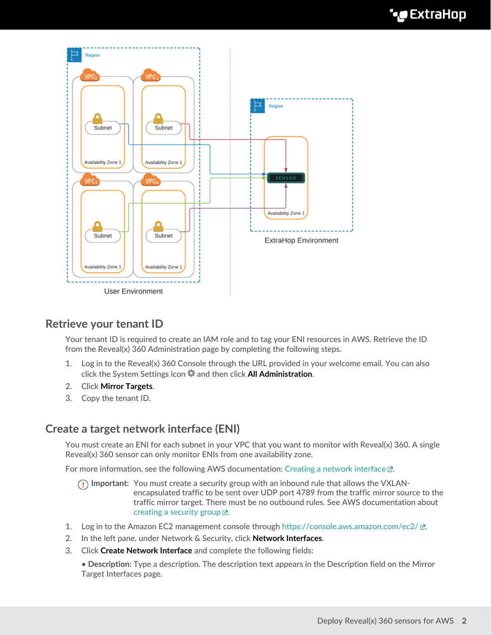

# **Retrieve your tenant ID**

Your tenant ID is required to create an IAM role and to tag your ENI resources in AWS. Retrieve the ID from the Reveal(x) 360 Administration page by completing the following steps.

- 1. Log in to the Reveal(x) 360 Console through the URL provided in your welcome email. You can also click the System Settings icon and then click **All Administration**.
- 2. Click **Mirror Targets**.
- 3. Copy the tenant ID.

# **Create a target network interface (ENI)**

You must create an ENI for each subnet in your VPC that you want to monitor with Reveal(x) 360. A single Reveal(x) 360 sensor can only monitor ENIs from one availability zone.

For more information, see the following AWS documentation: Creating a network interface  $\mathbb{Z}$ .

- **Important:** You must create a security group with an inbound rule that allows the VXLANencapsulated traffic to be sent over UDP port 4789 from the traffic mirror source to the traffic mirror target. There must be no outbound rules. See AWS documentation about creating a security group  $E$ .
- 1. Log in to the Amazon EC2 management console through <https://console.aws.amazon.com/ec2/> $\mathbb{E}$ .
- 2. In the left pane, under Network & Security, click **Network Interfaces**.
- 3. Click **Create Network Interface** and complete the following fields:

• **Description:** Type a description. The description text appears in the Description field on the Mirror Target Interfaces page.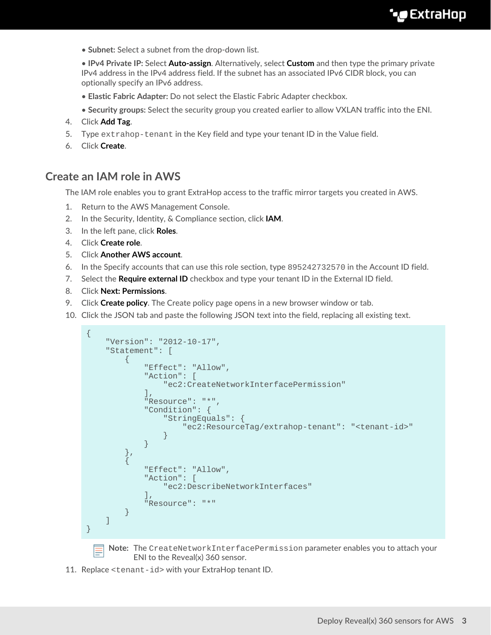• **Subnet:** Select a subnet from the drop-down list.

• **IPv4 Private IP:** Select **Auto-assign**. Alternatively, select **Custom** and then type the primary private IPv4 address in the IPv4 address field. If the subnet has an associated IPv6 CIDR block, you can optionally specify an IPv6 address.

- **Elastic Fabric Adapter:** Do not select the Elastic Fabric Adapter checkbox.
- **Security groups:** Select the security group you created earlier to allow VXLAN traffic into the ENI.
- 4. Click **Add Tag**.
- 5. Type extrahop-tenant in the Key field and type your tenant ID in the Value field.
- 6. Click **Create**.

## **Create an IAM role in AWS**

The IAM role enables you to grant ExtraHop access to the traffic mirror targets you created in AWS.

- 1. Return to the AWS Management Console.
- 2. In the Security, Identity, & Compliance section, click **IAM**.
- 3. In the left pane, click **Roles**.
- 4. Click **Create role**.
- 5. Click **Another AWS account**.
- 6. In the Specify accounts that can use this role section, type 895242732570 in the Account ID field.
- 7. Select the **Require external ID** checkbox and type your tenant ID in the External ID field.
- 8. Click **Next: Permissions**.
- 9. Click **Create policy**. The Create policy page opens in a new browser window or tab.
- 10. Click the JSON tab and paste the following JSON text into the field, replacing all existing text.

```
{
        "Version": "2012-10-17",
        "Statement": [
\left\{ \begin{array}{ccc} 0 & 0 & 0 \\ 0 & 0 & 0 \\ 0 & 0 & 0 \\ 0 & 0 & 0 \\ 0 & 0 & 0 \\ 0 & 0 & 0 \\ 0 & 0 & 0 \\ 0 & 0 & 0 \\ 0 & 0 & 0 \\ 0 & 0 & 0 \\ 0 & 0 & 0 \\ 0 & 0 & 0 \\ 0 & 0 & 0 \\ 0 & 0 & 0 & 0 \\ 0 & 0 & 0 & 0 \\ 0 & 0 & 0 & 0 \\ 0 & 0 & 0 & 0 \\ 0 & 0 & 0 & 0 & 0 \\ 0 & 0 & 0 & 0 & 0 \\ 0 & 0 & 0 & 0 & 0 "Effect": "Allow",
                       "Action": [
                               "ec2:CreateNetworkInterfacePermission"
                      \cdot "Resource": "*",
                       "Condition": {
                               "StringEquals": {
                               "ec2:ResourceTag/extrahop-tenant": "<tenant-id>"
 }
 }
                },
\left\{ \begin{array}{cc} 0 & 0 \\ 0 & 0 \end{array} \right\} "Effect": "Allow",
                       "Action": [
                               "ec2:DescribeNetworkInterfaces"
                       ],
                       "Resource": "*"
 }
        ]
}
        Note: The CreateNetworkInterfacePermission parameter enables you to attach your
```
ENI to the Reveal(x) 360 sensor.

11. Replace <tenant-id> with your ExtraHop tenant ID.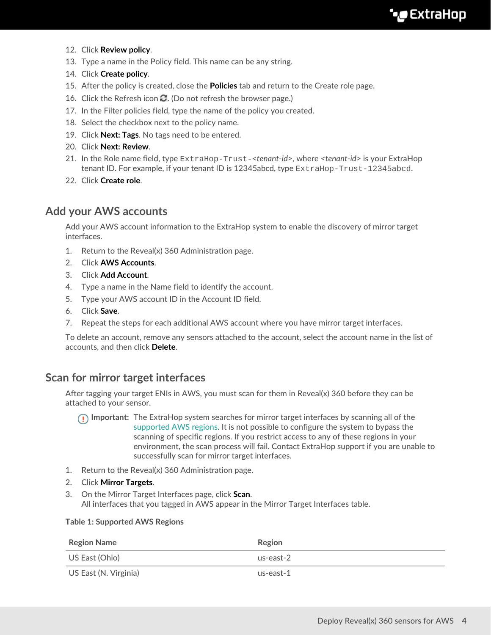- 12. Click **Review policy**.
- 13. Type a name in the Policy field. This name can be any string.
- 14. Click **Create policy**.
- 15. After the policy is created, close the **Policies** tab and return to the Create role page.
- 16. Click the Refresh icon  $\Omega$ . (Do not refresh the browser page.)
- 17. In the Filter policies field, type the name of the policy you created.
- 18. Select the checkbox next to the policy name.
- 19. Click **Next: Tags**. No tags need to be entered.
- 20. Click **Next: Review**.
- 21. In the Role name field, type ExtraHop-Trust-*<tenant-id>*, where *<tenant-id>* is your ExtraHop tenant ID. For example, if your tenant ID is 12345abcd, type ExtraHop-Trust-12345abcd.
- 22. Click **Create role**.

# **Add your AWS accounts**

Add your AWS account information to the ExtraHop system to enable the discovery of mirror target interfaces.

- 1. Return to the Reveal(x) 360 Administration page.
- 2. Click **AWS Accounts**.
- 3. Click **Add Account**.
- 4. Type a name in the Name field to identify the account.
- 5. Type your AWS account ID in the Account ID field.
- 6. Click **Save**.
- 7. Repeat the steps for each additional AWS account where you have mirror target interfaces.

To delete an account, remove any sensors attached to the account, select the account name in the list of accounts, and then click **Delete**.

# **Scan for mirror target interfaces**

After tagging your target ENIs in AWS, you must scan for them in Reveal(x) 360 before they can be attached to your sensor.

- **Important:** The ExtraHop system searches for mirror target interfaces by scanning all of the [supported AWS regions.](#page-3-0) It is not possible to configure the system to bypass the scanning of specific regions. If you restrict access to any of these regions in your environment, the scan process will fail. Contact ExtraHop support if you are unable to successfully scan for mirror target interfaces.
- 1. Return to the Reveal(x) 360 Administration page.
- 2. Click **Mirror Targets**.
- 3. On the Mirror Target Interfaces page, click **Scan**. All interfaces that you tagged in AWS appear in the Mirror Target Interfaces table.

#### <span id="page-3-0"></span>**Table 1: Supported AWS Regions**

| <b>Region Name</b>    | Region    |
|-----------------------|-----------|
| US East (Ohio)        | us-east-2 |
| US East (N. Virginia) | us-east-1 |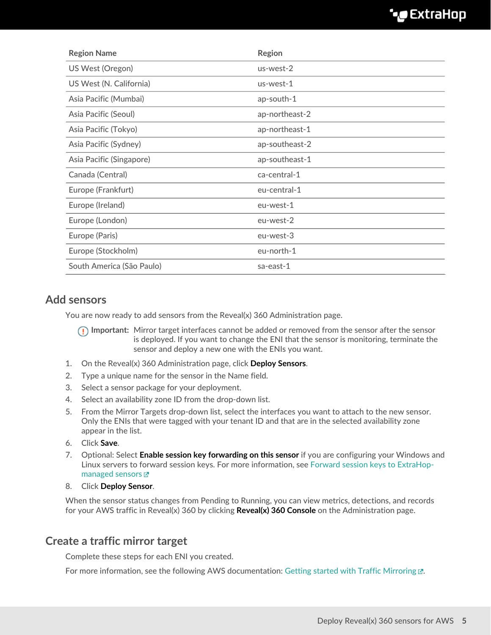| <b>Region Name</b>        | <b>Region</b>  |
|---------------------------|----------------|
| US West (Oregon)          | us-west-2      |
| US West (N. California)   | us-west-1      |
| Asia Pacific (Mumbai)     | ap-south-1     |
| Asia Pacific (Seoul)      | ap-northeast-2 |
| Asia Pacific (Tokyo)      | ap-northeast-1 |
| Asia Pacific (Sydney)     | ap-southeast-2 |
| Asia Pacific (Singapore)  | ap-southeast-1 |
| Canada (Central)          | ca-central-1   |
| Europe (Frankfurt)        | eu-central-1   |
| Europe (Ireland)          | eu-west-1      |
| Europe (London)           | eu-west-2      |
| Europe (Paris)            | eu-west-3      |
| Europe (Stockholm)        | eu-north-1     |
| South America (São Paulo) | sa-east-1      |

# **Add sensors**

You are now ready to add sensors from the Reveal(x) 360 Administration page.

**Important:** Mirror target interfaces cannot be added or removed from the sensor after the sensor is deployed. If you want to change the ENI that the sensor is monitoring, terminate the sensor and deploy a new one with the ENIs you want.

- 1. On the Reveal(x) 360 Administration page, click **Deploy Sensors**.
- 2. Type a unique name for the sensor in the Name field.
- 3. Select a sensor package for your deployment.
- 4. Select an availability zone ID from the drop-down list.
- 5. From the Mirror Targets drop-down list, select the interfaces you want to attach to the new sensor. Only the ENIs that were tagged with your tenant ID and that are in the selected availability zone appear in the list.
- 6. Click **Save**.
- 7. Optional: Select **Enable session key forwarding on this sensor** if you are configuring your Windows and Linux servers to forward session keys. For more information, see [Forward session keys to ExtraHop](https://docs.extrahop.com/8.9/rx360-session-keys)[managed sensors](https://docs.extrahop.com/8.9/rx360-session-keys) E
- 8. Click **Deploy Sensor**.

When the sensor status changes from Pending to Running, you can view metrics, detections, and records for your AWS traffic in Reveal(x) 360 by clicking **Reveal(x) 360 Console** on the Administration page.

# **Create a traffic mirror target**

Complete these steps for each ENI you created.

For more information, see the following AWS documentation: Getting started with Traffic Mirroring  $\mathbb{Z}$ .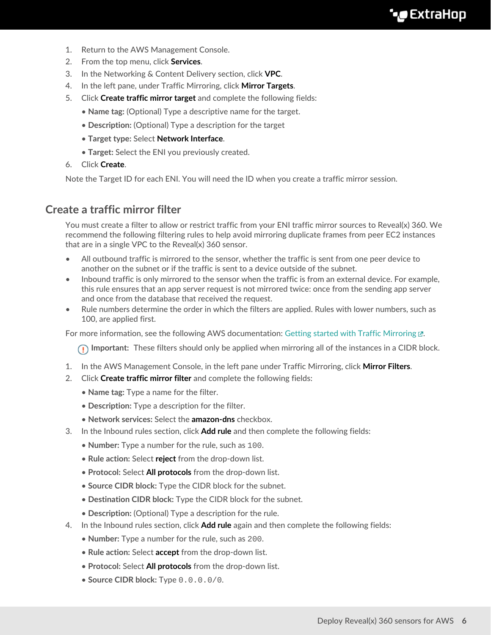- 1. Return to the AWS Management Console.
- 2. From the top menu, click **Services**.
- 3. In the Networking & Content Delivery section, click **VPC**.
- 4. In the left pane, under Traffic Mirroring, click **Mirror Targets**.
- 5. Click **Create traffic mirror target** and complete the following fields:
	- **Name tag:** (Optional) Type a descriptive name for the target.
	- **Description:** (Optional) Type a description for the target
	- **Target type:** Select **Network Interface**.
	- **Target:** Select the ENI you previously created.
- 6. Click **Create**.

Note the Target ID for each ENI. You will need the ID when you create a traffic mirror session.

## **Create a traffic mirror filter**

You must create a filter to allow or restrict traffic from your ENI traffic mirror sources to Reveal(x) 360. We recommend the following filtering rules to help avoid mirroring duplicate frames from peer EC2 instances that are in a single VPC to the Reveal(x) 360 sensor.

- All outbound traffic is mirrored to the sensor, whether the traffic is sent from one peer device to another on the subnet or if the traffic is sent to a device outside of the subnet.
- Inbound traffic is only mirrored to the sensor when the traffic is from an external device. For example, this rule ensures that an app server request is not mirrored twice: once from the sending app server and once from the database that received the request.
- Rule numbers determine the order in which the filters are applied. Rules with lower numbers, such as 100, are applied first.

For more information, see the following AWS documentation: Getting started with Traffic Mirroring @.

**Important:** These filters should only be applied when mirroring all of the instances in a CIDR block.

- 1. In the AWS Management Console, in the left pane under Traffic Mirroring, click **Mirror Filters**.
- 2. Click **Create traffic mirror filter** and complete the following fields:
	- **Name tag:** Type a name for the filter.
	- **Description:** Type a description for the filter.
	- **Network services:** Select the **amazon-dns** checkbox.
- 3. In the Inbound rules section, click **Add rule** and then complete the following fields:
	- **Number:** Type a number for the rule, such as 100.
	- **Rule action:** Select **reject** from the drop-down list.
	- **Protocol:** Select **All protocols** from the drop-down list.
	- **Source CIDR block:** Type the CIDR block for the subnet.
	- **Destination CIDR block:** Type the CIDR block for the subnet.
	- **Description:** (Optional) Type a description for the rule.
- 4. In the Inbound rules section, click **Add rule** again and then complete the following fields:
	- **Number:** Type a number for the rule, such as 200.
	- **Rule action:** Select **accept** from the drop-down list.
	- **Protocol:** Select **All protocols** from the drop-down list.
	- **Source CIDR block:** Type 0.0.0.0/0.